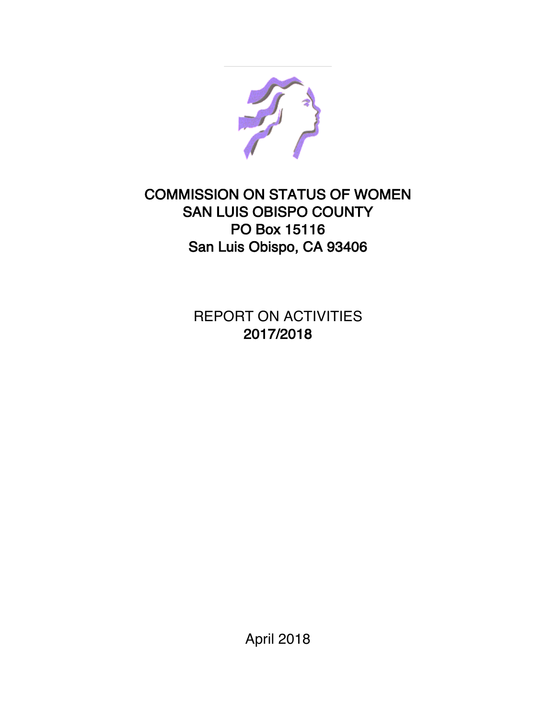

## COMMISSION ON STATUS OF WOMEN SAN LUIS OBISPO COUNTY PO Box 15116 San Luis Obispo, CA 93406

REPORT ON ACTIVITIES 2017/2018

April 2018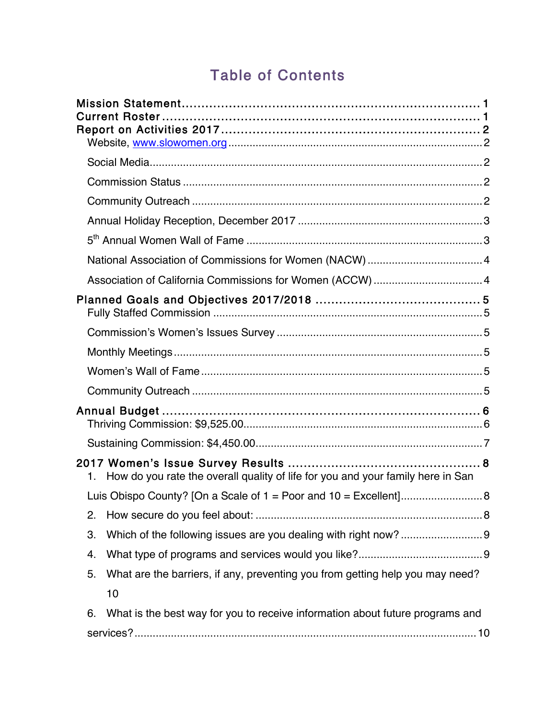# Table of Contents

|    | Association of California Commissions for Women (ACCW)  4                          |  |
|----|------------------------------------------------------------------------------------|--|
|    |                                                                                    |  |
|    |                                                                                    |  |
|    |                                                                                    |  |
|    |                                                                                    |  |
|    |                                                                                    |  |
|    |                                                                                    |  |
|    |                                                                                    |  |
|    | 1. How do you rate the overall quality of life for you and your family here in San |  |
|    |                                                                                    |  |
| 2. |                                                                                    |  |
| 3. |                                                                                    |  |
| 4. |                                                                                    |  |
| 5. | What are the barriers, if any, preventing you from getting help you may need?      |  |
|    | 10                                                                                 |  |
| 6. | What is the best way for you to receive information about future programs and      |  |
|    |                                                                                    |  |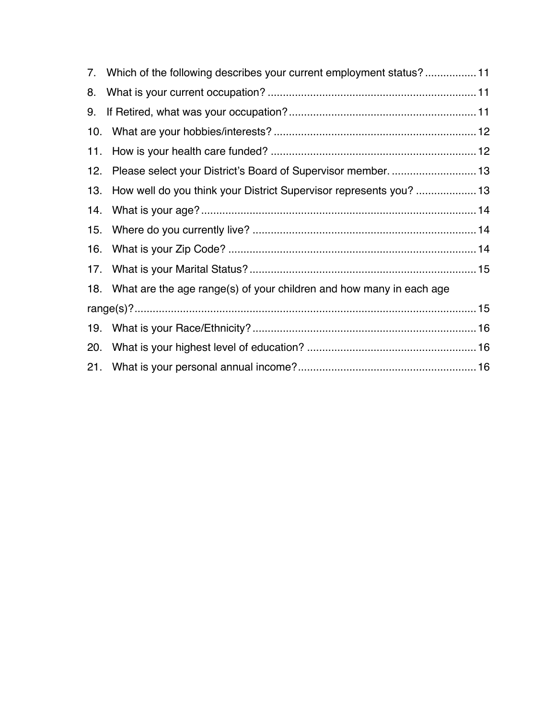|     | 7. Which of the following describes your current employment status?11   |  |
|-----|-------------------------------------------------------------------------|--|
| 8.  |                                                                         |  |
| 9.  |                                                                         |  |
| 10. |                                                                         |  |
| 11. |                                                                         |  |
| 12. | Please select your District's Board of Supervisor member.  13           |  |
| 13. | How well do you think your District Supervisor represents you?  13      |  |
| 14. |                                                                         |  |
|     |                                                                         |  |
| 16. |                                                                         |  |
|     |                                                                         |  |
|     | 18. What are the age range(s) of your children and how many in each age |  |
|     |                                                                         |  |
|     |                                                                         |  |
| 20. |                                                                         |  |
|     |                                                                         |  |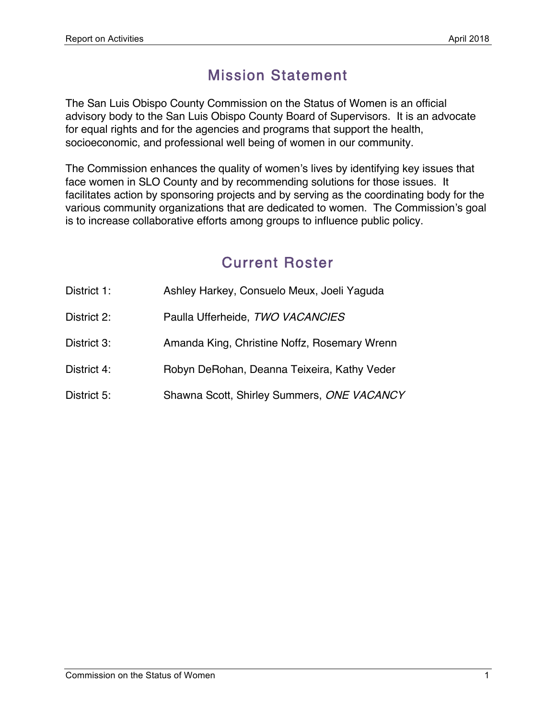## Mission Statement

The San Luis Obispo County Commission on the Status of Women is an official advisory body to the San Luis Obispo County Board of Supervisors. It is an advocate for equal rights and for the agencies and programs that support the health, socioeconomic, and professional well being of women in our community.

The Commission enhances the quality of women's lives by identifying key issues that face women in SLO County and by recommending solutions for those issues. It facilitates action by sponsoring projects and by serving as the coordinating body for the various community organizations that are dedicated to women. The Commission's goal is to increase collaborative efforts among groups to influence public policy.

## Current Roster

| District 1: | Ashley Harkey, Consuelo Meux, Joeli Yaguda   |
|-------------|----------------------------------------------|
| District 2: | Paulla Ufferheide, TWO VACANCIES             |
| District 3: | Amanda King, Christine Noffz, Rosemary Wrenn |
| District 4: | Robyn DeRohan, Deanna Teixeira, Kathy Veder  |
| District 5: | Shawna Scott, Shirley Summers, ONE VACANCY   |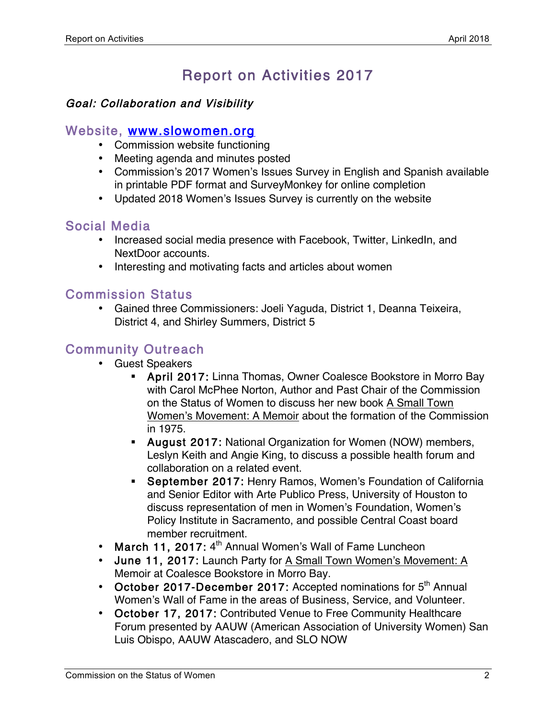# Report on Activities 2017

#### Goal: Collaboration and Visibility

#### Website, www.slowomen.org

- Commission website functioning
- Meeting agenda and minutes posted
- Commission's 2017 Women's Issues Survey in English and Spanish available in printable PDF format and SurveyMonkey for online completion
- Updated 2018 Women's Issues Survey is currently on the website

### Social Media

- Increased social media presence with Facebook, Twitter, LinkedIn, and NextDoor accounts.
- Interesting and motivating facts and articles about women

### Commission Status

• Gained three Commissioners: Joeli Yaguda, District 1, Deanna Teixeira, District 4, and Shirley Summers, District 5

## Community Outreach

- Guest Speakers
	- April 2017: Linna Thomas, Owner Coalesce Bookstore in Morro Bay with Carol McPhee Norton, Author and Past Chair of the Commission on the Status of Women to discuss her new book A Small Town Women's Movement: A Memoir about the formation of the Commission in 1975.
	- August 2017: National Organization for Women (NOW) members, Leslyn Keith and Angie King, to discuss a possible health forum and collaboration on a related event.
	- September 2017: Henry Ramos, Women's Foundation of California and Senior Editor with Arte Publico Press, University of Houston to discuss representation of men in Women's Foundation, Women's Policy Institute in Sacramento, and possible Central Coast board member recruitment.
- March 11, 2017:  $4<sup>th</sup>$  Annual Women's Wall of Fame Luncheon
- June 11, 2017: Launch Party for A Small Town Women's Movement: A Memoir at Coalesce Bookstore in Morro Bay.
- October 2017-December 2017: Accepted nominations for 5<sup>th</sup> Annual Women's Wall of Fame in the areas of Business, Service, and Volunteer.
- October 17, 2017: Contributed Venue to Free Community Healthcare Forum presented by AAUW (American Association of University Women) San Luis Obispo, AAUW Atascadero, and SLO NOW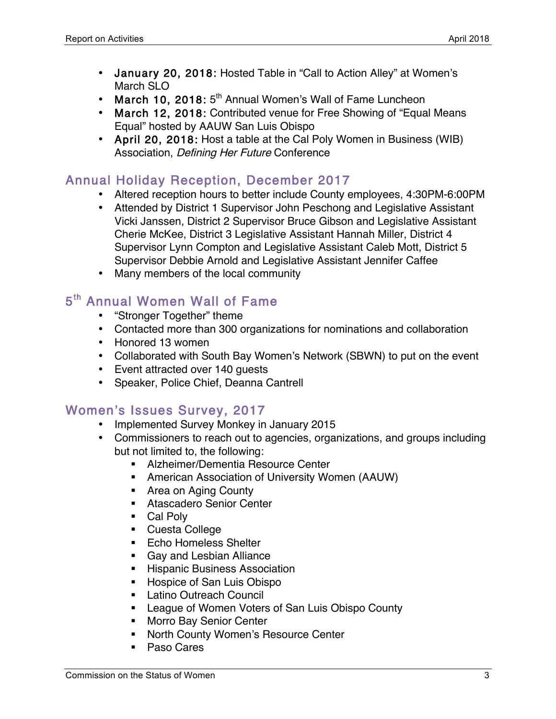- January 20, 2018: Hosted Table in "Call to Action Alley" at Women's March SLO
- March 10, 2018:  $5<sup>th</sup>$  Annual Women's Wall of Fame Luncheon
- March 12, 2018: Contributed venue for Free Showing of "Equal Means Equal" hosted by AAUW San Luis Obispo
- April 20, 2018: Host a table at the Cal Poly Women in Business (WIB) Association, Defining Her Future Conference

### Annual Holiday Reception, December 2017

- Altered reception hours to better include County employees, 4:30PM-6:00PM
- Attended by District 1 Supervisor John Peschong and Legislative Assistant Vicki Janssen, District 2 Supervisor Bruce Gibson and Legislative Assistant Cherie McKee, District 3 Legislative Assistant Hannah Miller, District 4 Supervisor Lynn Compton and Legislative Assistant Caleb Mott, District 5 Supervisor Debbie Arnold and Legislative Assistant Jennifer Caffee
- Many members of the local community

## 5<sup>th</sup> Annual Women Wall of Fame

- "Stronger Together" theme
- Contacted more than 300 organizations for nominations and collaboration
- Honored 13 women
- Collaborated with South Bay Women's Network (SBWN) to put on the event
- Event attracted over 140 guests
- Speaker, Police Chief, Deanna Cantrell

#### Women's Issues Survey, 2017

- Implemented Survey Monkey in January 2015
- Commissioners to reach out to agencies, organizations, and groups including but not limited to, the following:
	- Alzheimer/Dementia Resource Center
	- American Association of University Women (AAUW)
	- Area on Aging County
	- Atascadero Senior Center
	- Cal Poly
	- Cuesta College
	- Echo Homeless Shelter
	- Gay and Lesbian Alliance
	- **EXEC** Hispanic Business Association
	- Hospice of San Luis Obispo
	- Latino Outreach Council
	- League of Women Voters of San Luis Obispo County
	- Morro Bay Senior Center
	- North County Women's Resource Center
	- Paso Cares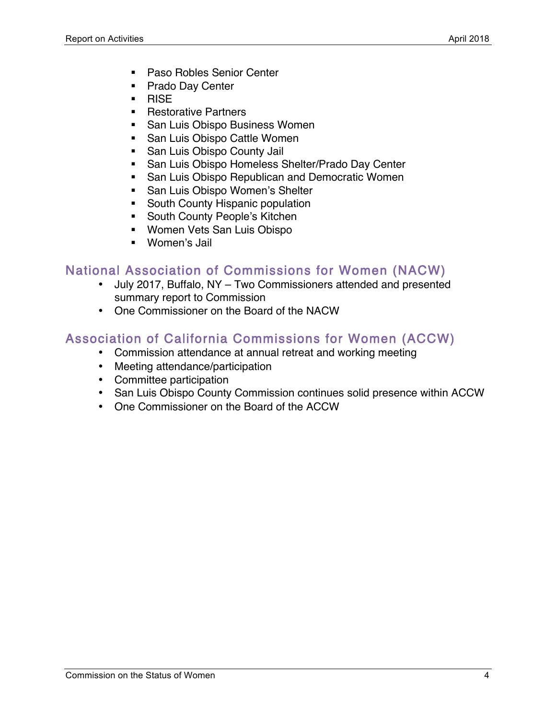- Paso Robles Senior Center
- Prado Day Center
- § RISE
- Restorative Partners
- San Luis Obispo Business Women
- San Luis Obispo Cattle Women
- San Luis Obispo County Jail
- San Luis Obispo Homeless Shelter/Prado Day Center
- San Luis Obispo Republican and Democratic Women
- San Luis Obispo Women's Shelter
- South County Hispanic population
- South County People's Kitchen
- Women Vets San Luis Obispo
- Women's Jail

### National Association of Commissions for Women (NACW)

- July 2017, Buffalo, NY Two Commissioners attended and presented summary report to Commission
- One Commissioner on the Board of the NACW

## Association of California Commissions for Women (ACCW)

- Commission attendance at annual retreat and working meeting
- Meeting attendance/participation
- Committee participation
- San Luis Obispo County Commission continues solid presence within ACCW
- One Commissioner on the Board of the ACCW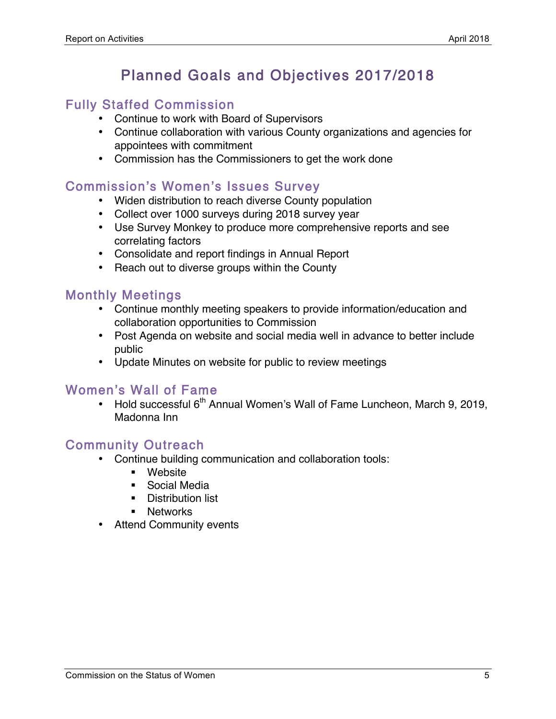# Planned Goals and Objectives 2017/2018

#### Fully Staffed Commission

- Continue to work with Board of Supervisors
- Continue collaboration with various County organizations and agencies for appointees with commitment
- Commission has the Commissioners to get the work done

### Commission's Women's Issues Survey

- Widen distribution to reach diverse County population
- Collect over 1000 surveys during 2018 survey year
- Use Survey Monkey to produce more comprehensive reports and see correlating factors
- Consolidate and report findings in Annual Report
- Reach out to diverse groups within the County

### Monthly Meetings

- Continue monthly meeting speakers to provide information/education and collaboration opportunities to Commission
- Post Agenda on website and social media well in advance to better include public
- Update Minutes on website for public to review meetings

#### Women's Wall of Fame

• Hold successful 6<sup>th</sup> Annual Women's Wall of Fame Luncheon, March 9, 2019, Madonna Inn

#### Community Outreach

- Continue building communication and collaboration tools:
	- § Website
	- Social Media
	- **•** Distribution list
	- Networks
- Attend Community events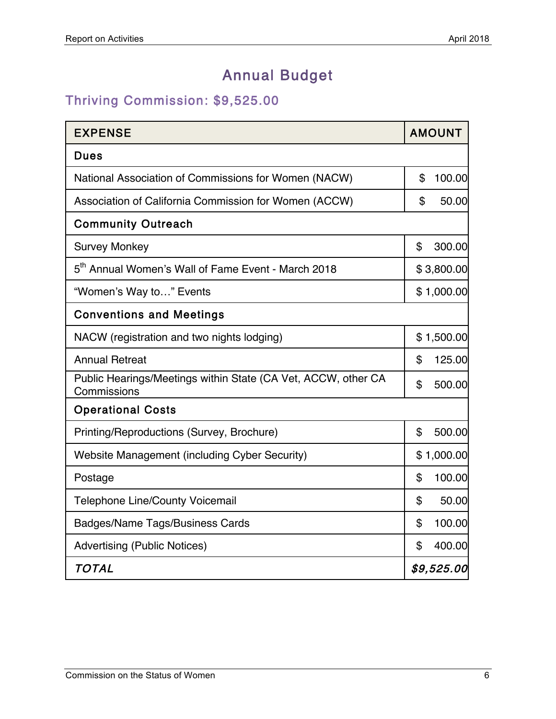# Annual Budget

## Thriving Commission: \$9,525.00

| <b>EXPENSE</b>                                                               | <b>AMOUNT</b> |
|------------------------------------------------------------------------------|---------------|
| <b>Dues</b>                                                                  |               |
| National Association of Commissions for Women (NACW)                         | \$<br>100.00  |
| Association of California Commission for Women (ACCW)                        | \$<br>50.00   |
| <b>Community Outreach</b>                                                    |               |
| <b>Survey Monkey</b>                                                         | \$<br>300.00  |
| 5 <sup>th</sup> Annual Women's Wall of Fame Event - March 2018               | \$3,800.00    |
| "Women's Way to" Events                                                      | \$1,000.00    |
| <b>Conventions and Meetings</b>                                              |               |
| NACW (registration and two nights lodging)                                   | \$1,500.00    |
| <b>Annual Retreat</b>                                                        | \$<br>125.00  |
| Public Hearings/Meetings within State (CA Vet, ACCW, other CA<br>Commissions | \$<br>500.00  |
| <b>Operational Costs</b>                                                     |               |
| Printing/Reproductions (Survey, Brochure)                                    | \$<br>500.00  |
| Website Management (including Cyber Security)                                | \$1,000.00    |
| Postage                                                                      | 100.00<br>\$  |
| <b>Telephone Line/County Voicemail</b>                                       | \$<br>50.00   |
| <b>Badges/Name Tags/Business Cards</b>                                       | 100.00<br>\$  |
| <b>Advertising (Public Notices)</b>                                          | \$<br>400.00  |
| <b>TOTAL</b>                                                                 | \$9,525.00    |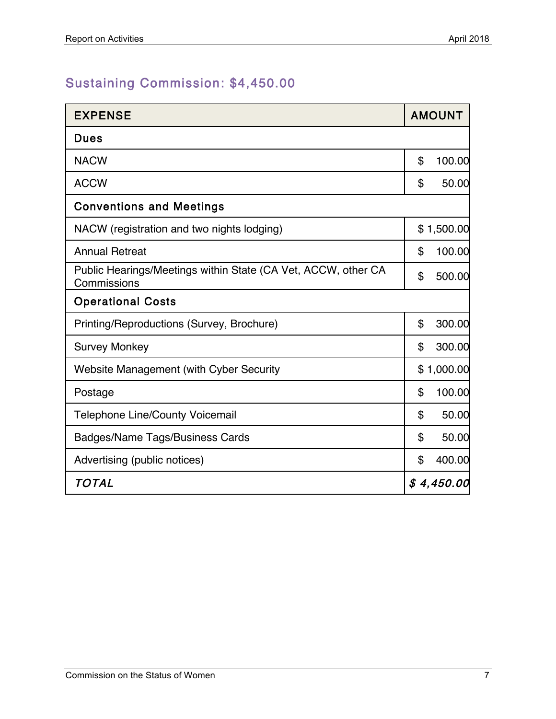## Sustaining Commission: \$4,450.00

| <b>EXPENSE</b>                                                               | <b>AMOUNT</b> |
|------------------------------------------------------------------------------|---------------|
| <b>Dues</b>                                                                  |               |
| <b>NACW</b>                                                                  | \$<br>100.00  |
| <b>ACCW</b>                                                                  | \$<br>50.00   |
| <b>Conventions and Meetings</b>                                              |               |
| NACW (registration and two nights lodging)                                   | \$1,500.00    |
| <b>Annual Retreat</b>                                                        | \$<br>100.00  |
| Public Hearings/Meetings within State (CA Vet, ACCW, other CA<br>Commissions | \$<br>500.00  |
| <b>Operational Costs</b>                                                     |               |
| Printing/Reproductions (Survey, Brochure)                                    | \$<br>300.00  |
| <b>Survey Monkey</b>                                                         | \$<br>300.00  |
| Website Management (with Cyber Security                                      | \$1,000.00    |
| Postage                                                                      | \$<br>100.00  |
| <b>Telephone Line/County Voicemail</b>                                       | \$<br>50.00   |
| <b>Badges/Name Tags/Business Cards</b>                                       | \$<br>50.00   |
| Advertising (public notices)                                                 | \$<br>400.00  |
| <b>TOTAL</b>                                                                 | \$4,450.00    |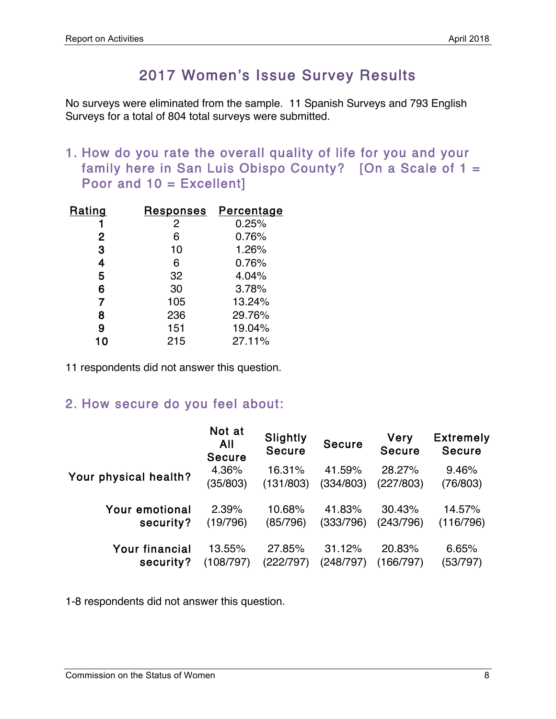## 2017 Women's Issue Survey Results

No surveys were eliminated from the sample. 11 Spanish Surveys and 793 English Surveys for a total of 804 total surveys were submitted.

1. How do you rate the overall quality of life for you and your family here in San Luis Obispo County? [On a Scale of 1 = Poor and 10 = Excellent]

| Rating       | <u>Responses</u> | Percentage |
|--------------|------------------|------------|
|              | $\overline{2}$   | 0.25%      |
| $\mathbf{2}$ | 6                | 0.76%      |
| 3            | 10               | 1.26%      |
| 4            | 6                | 0.76%      |
| 5            | 32               | 4.04%      |
| 6            | 30               | 3.78%      |
| 7            | 105              | 13.24%     |
| 8            | 236              | 29.76%     |
| 9            | 151              | 19.04%     |
|              | 215              | 27.11%     |

11 respondents did not answer this question.

### 2. How secure do you feel about:

|                       | Not at<br>All<br><b>Secure</b> | Slightly<br><b>Secure</b> | <b>Secure</b> | <b>Very</b><br><b>Secure</b> | <b>Extremely</b><br><b>Secure</b> |
|-----------------------|--------------------------------|---------------------------|---------------|------------------------------|-----------------------------------|
| Your physical health? | 4.36%                          | 16.31%                    | 41.59%        | 28.27%                       | 9.46%                             |
|                       | (35/803)                       | (131/803)                 | (334/803)     | (227/803)                    | (76/803)                          |
| <b>Your emotional</b> | 2.39%                          | 10.68%                    | 41.83%        | 30.43%                       | 14.57%                            |
| security?             | (19/796)                       | (85/796)                  | (333/796)     | (243/796)                    | (116/796)                         |
| <b>Your financial</b> | 13.55%                         | 27.85%                    | 31.12%        | 20.83%                       | 6.65%                             |
| security?             | (108/797)                      | (222/797)                 | (248/797)     | (166/797)                    | (53/797)                          |

1-8 respondents did not answer this question.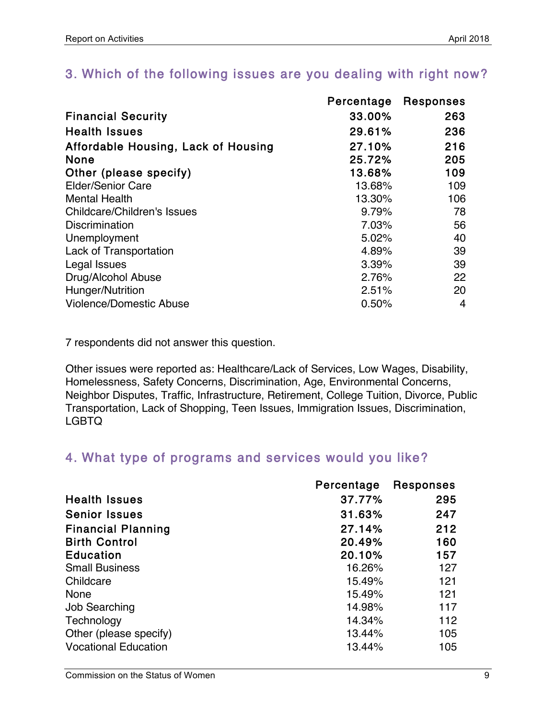### 3. Which of the following issues are you dealing with right now?

|                                     | Percentage | Responses |
|-------------------------------------|------------|-----------|
| <b>Financial Security</b>           | 33.00%     | 263       |
| <b>Health Issues</b>                | 29.61%     | 236       |
| Affordable Housing, Lack of Housing | 27.10%     | 216       |
| <b>None</b>                         | 25.72%     | 205       |
| Other (please specify)              | 13.68%     | 109       |
| <b>Elder/Senior Care</b>            | 13.68%     | 109       |
| <b>Mental Health</b>                | 13.30%     | 106       |
| <b>Childcare/Children's Issues</b>  | 9.79%      | 78        |
| <b>Discrimination</b>               | 7.03%      | 56        |
| Unemployment                        | 5.02%      | 40        |
| <b>Lack of Transportation</b>       | 4.89%      | 39        |
| Legal Issues                        | 3.39%      | 39        |
| Drug/Alcohol Abuse                  | 2.76%      | 22        |
| Hunger/Nutrition                    | 2.51%      | 20        |
| <b>Violence/Domestic Abuse</b>      | 0.50%      | 4         |

7 respondents did not answer this question.

Other issues were reported as: Healthcare/Lack of Services, Low Wages, Disability, Homelessness, Safety Concerns, Discrimination, Age, Environmental Concerns, Neighbor Disputes, Traffic, Infrastructure, Retirement, College Tuition, Divorce, Public Transportation, Lack of Shopping, Teen Issues, Immigration Issues, Discrimination, LGBTQ

### 4. What type of programs and services would you like?

|                             | Percentage | <b>Responses</b> |
|-----------------------------|------------|------------------|
| <b>Health Issues</b>        | 37.77%     | 295              |
| <b>Senior Issues</b>        | 31.63%     | 247              |
| <b>Financial Planning</b>   | 27.14%     | 212              |
| <b>Birth Control</b>        | 20.49%     | 160              |
| <b>Education</b>            | 20.10%     | 157              |
| <b>Small Business</b>       | 16.26%     | 127              |
| Childcare                   | 15.49%     | 121              |
| <b>None</b>                 | 15.49%     | 121              |
| <b>Job Searching</b>        | 14.98%     | 117              |
| Technology                  | 14.34%     | 112              |
| Other (please specify)      | 13.44%     | 105              |
| <b>Vocational Education</b> | 13.44%     | 105              |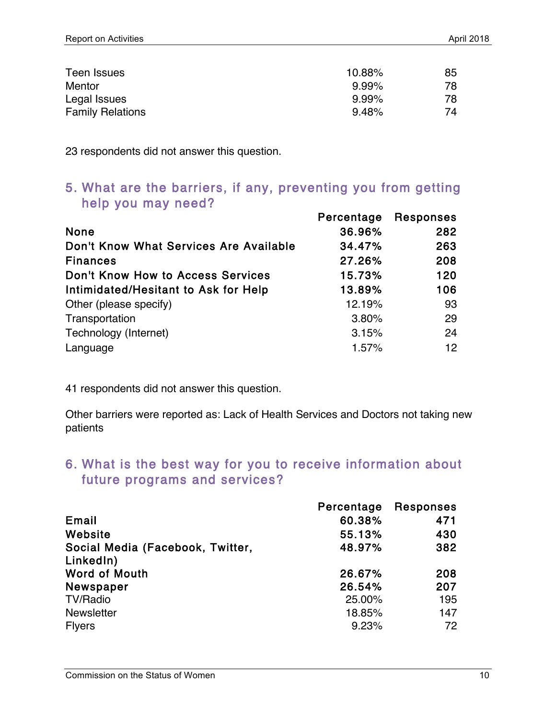| Teen Issues             | 10.88%   | 85 |
|-------------------------|----------|----|
| Mentor                  | $9.99\%$ | 78 |
| Legal Issues            | $9.99\%$ | 78 |
| <b>Family Relations</b> | 9.48%    | 74 |

23 respondents did not answer this question.

#### 5. What are the barriers, if any, preventing you from getting help you may need?

|                                        | Percentage | <b>Responses</b> |
|----------------------------------------|------------|------------------|
| <b>None</b>                            | 36.96%     | 282              |
| Don't Know What Services Are Available | 34.47%     | 263              |
| <b>Finances</b>                        | 27.26%     | 208              |
| Don't Know How to Access Services      | 15.73%     | 120              |
| Intimidated/Hesitant to Ask for Help   | 13.89%     | 106              |
| Other (please specify)                 | 12.19%     | 93               |
| Transportation                         | 3.80%      | 29               |
| Technology (Internet)                  | 3.15%      | 24               |
| Language                               | 1.57%      | 12 <sup>2</sup>  |

41 respondents did not answer this question.

Other barriers were reported as: Lack of Health Services and Doctors not taking new patients

### 6. What is the best way for you to receive information about future programs and services?

|                                  | Percentage | <b>Responses</b> |
|----------------------------------|------------|------------------|
| Email                            | 60.38%     | 471              |
| Website                          | 55.13%     | 430              |
| Social Media (Facebook, Twitter, | 48.97%     | 382              |
| LinkedIn)                        |            |                  |
| <b>Word of Mouth</b>             | 26.67%     | 208              |
| Newspaper                        | 26.54%     | 207              |
| <b>TV/Radio</b>                  | 25.00%     | 195              |
| <b>Newsletter</b>                | 18.85%     | 147              |
| <b>Flyers</b>                    | 9.23%      | 72               |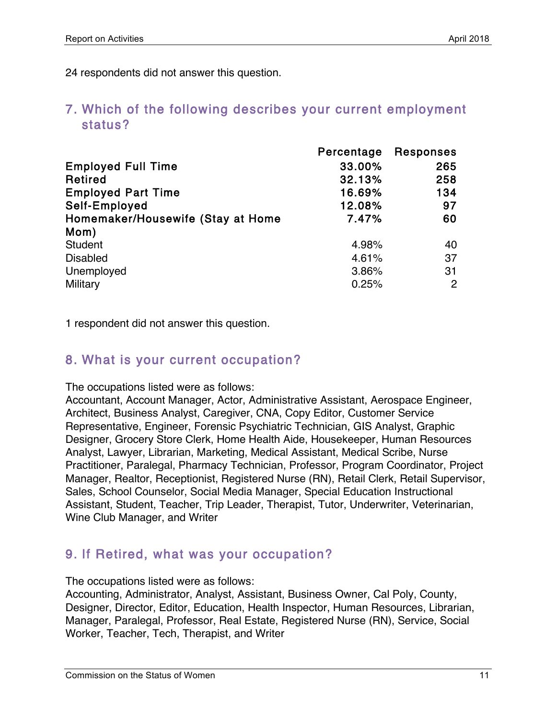24 respondents did not answer this question.

### 7. Which of the following describes your current employment status?

|                                   | Percentage | Responses |
|-----------------------------------|------------|-----------|
| <b>Employed Full Time</b>         | 33.00%     | 265       |
| Retired                           | 32.13%     | 258       |
| <b>Employed Part Time</b>         | 16.69%     | 134       |
| Self-Employed                     | 12.08%     | 97        |
| Homemaker/Housewife (Stay at Home | 7.47%      | 60        |
| Mom)                              |            |           |
| <b>Student</b>                    | 4.98%      | 40        |
| <b>Disabled</b>                   | 4.61%      | 37        |
| Unemployed                        | 3.86%      | 31        |
| Military                          | 0.25%      | 2         |

1 respondent did not answer this question.

### 8. What is your current occupation?

The occupations listed were as follows:

Accountant, Account Manager, Actor, Administrative Assistant, Aerospace Engineer, Architect, Business Analyst, Caregiver, CNA, Copy Editor, Customer Service Representative, Engineer, Forensic Psychiatric Technician, GIS Analyst, Graphic Designer, Grocery Store Clerk, Home Health Aide, Housekeeper, Human Resources Analyst, Lawyer, Librarian, Marketing, Medical Assistant, Medical Scribe, Nurse Practitioner, Paralegal, Pharmacy Technician, Professor, Program Coordinator, Project Manager, Realtor, Receptionist, Registered Nurse (RN), Retail Clerk, Retail Supervisor, Sales, School Counselor, Social Media Manager, Special Education Instructional Assistant, Student, Teacher, Trip Leader, Therapist, Tutor, Underwriter, Veterinarian, Wine Club Manager, and Writer

### 9. If Retired, what was your occupation?

The occupations listed were as follows:

Accounting, Administrator, Analyst, Assistant, Business Owner, Cal Poly, County, Designer, Director, Editor, Education, Health Inspector, Human Resources, Librarian, Manager, Paralegal, Professor, Real Estate, Registered Nurse (RN), Service, Social Worker, Teacher, Tech, Therapist, and Writer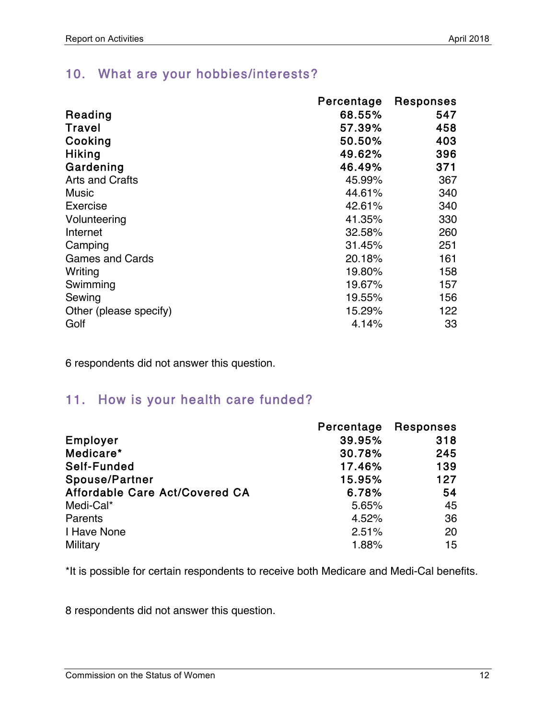### 10. What are your hobbies/interests?

|                        | Percentage | <b>Responses</b> |
|------------------------|------------|------------------|
| Reading                | 68.55%     | 547              |
| <b>Travel</b>          | 57.39%     | 458              |
| Cooking                | 50.50%     | 403              |
| <b>Hiking</b>          | 49.62%     | 396              |
| Gardening              | 46.49%     | 371              |
| <b>Arts and Crafts</b> | 45.99%     | 367              |
| <b>Music</b>           | 44.61%     | 340              |
| Exercise               | 42.61%     | 340              |
| Volunteering           | 41.35%     | 330              |
| Internet               | 32.58%     | 260              |
| Camping                | 31.45%     | 251              |
| <b>Games and Cards</b> | 20.18%     | 161              |
| Writing                | 19.80%     | 158              |
| Swimming               | 19.67%     | 157              |
| Sewing                 | 19.55%     | 156              |
| Other (please specify) | 15.29%     | 122              |
| Golf                   | 4.14%      | 33               |

6 respondents did not answer this question.

### 11. How is your health care funded?

|                                | Percentage | <b>Responses</b> |
|--------------------------------|------------|------------------|
| Employer                       | 39.95%     | 318              |
| Medicare*                      | 30.78%     | 245              |
| Self-Funded                    | 17.46%     | 139              |
| Spouse/Partner                 | 15.95%     | 127              |
| Affordable Care Act/Covered CA | 6.78%      | 54               |
| Medi-Cal*                      | 5.65%      | 45               |
| Parents                        | 4.52%      | 36               |
| I Have None                    | 2.51%      | 20               |
| Military                       | 1.88%      | 15               |

\*It is possible for certain respondents to receive both Medicare and Medi-Cal benefits.

8 respondents did not answer this question.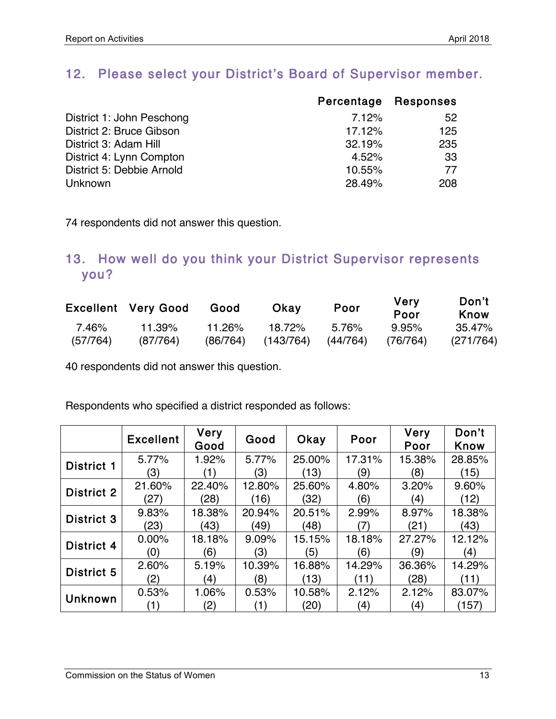### 12. Please select your District's Board of Supervisor member.

|                           | Percentage Responses |     |
|---------------------------|----------------------|-----|
| District 1: John Peschong | 7.12%                | 52  |
| District 2: Bruce Gibson  | 17.12%               | 125 |
| District 3: Adam Hill     | 32.19%               | 235 |
| District 4: Lynn Compton  | 4.52%                | 33  |
| District 5: Debbie Arnold | 10.55%               | 77  |
| <b>Unknown</b>            | 28.49%               | 208 |

74 respondents did not answer this question.

### 13. How well do you think your District Supervisor represents you?

|          | <b>Excellent Very Good</b> | Good     | Okav      | Poor     | Very<br>Poor | Don't<br>Know |
|----------|----------------------------|----------|-----------|----------|--------------|---------------|
| 7.46%    | 11.39%                     | 11.26%   | 18.72%    | 5.76%    | 9.95%        | 35.47%        |
| (57/764) | (87/764)                   | (86/764) | (143/764) | (44/764) | (76/764)     | (271/764)     |

40 respondents did not answer this question.

Respondents who specified a district responded as follows:

|                   | <b>Excellent</b> | <b>Very</b><br>Good | Good   | Okay   | Poor   | <b>Very</b><br>Poor | Don't<br>Know |
|-------------------|------------------|---------------------|--------|--------|--------|---------------------|---------------|
| <b>District 1</b> | 5.77%            | 1.92%               | 5.77%  | 25.00% | 17.31% | 15.38%              | 28.85%        |
|                   | (3)              |                     | (3)    | (13)   | (9)    | (8)                 | (15)          |
| District 2        | 21.60%           | 22.40%              | 12.80% | 25.60% | 4.80%  | 3.20%               | 9.60%         |
|                   | (27)             | (28)                | (16)   | (32)   | (6)    | (4)                 | (12)          |
| District 3        | 9.83%            | 18.38%              | 20.94% | 20.51% | 2.99%  | 8.97%               | 18.38%        |
|                   | (23)             | (43)                | (49)   | (48)   | (7)    | (21)                | (43)          |
| District 4        | 0.00%            | 18.18%              | 9.09%  | 15.15% | 18.18% | 27.27%              | 12.12%        |
|                   | (0)              | (6)                 | (3)    | (5)    | (6)    | (9)                 | (4)           |
| District 5        | 2.60%            | 5.19%               | 10.39% | 16.88% | 14.29% | 36.36%              | 14.29%        |
|                   | (2)              | (4)                 | (8)    | (13)   | (11)   | (28)                | (11)          |
| <b>Unknown</b>    | 0.53%            | 1.06%               | 0.53%  | 10.58% | 2.12%  | 2.12%               | 83.07%        |
|                   | (1)              | (2)                 | (1)    | (20)   | (4)    | (4)                 | (157)         |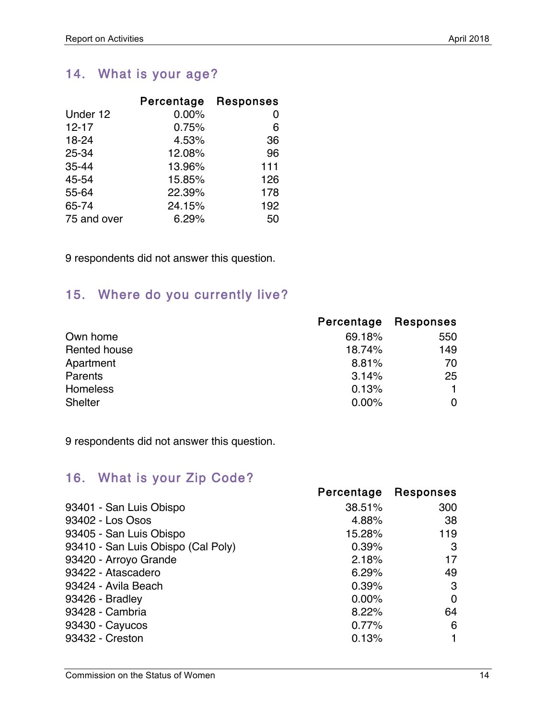## 14. What is your age?

|             | Percentage | <b>Responses</b> |
|-------------|------------|------------------|
| Under 12    | 0.00%      | O                |
| $12 - 17$   | 0.75%      | 6                |
| 18-24       | 4.53%      | 36               |
| 25-34       | 12.08%     | 96               |
| $35 - 44$   | 13.96%     | 111              |
| 45-54       | 15.85%     | 126              |
| 55-64       | 22.39%     | 178              |
| 65-74       | 24.15%     | 192              |
| 75 and over | 6.29%      | 50               |

9 respondents did not answer this question.

## 15. Where do you currently live?

|                 | Percentage | Responses |
|-----------------|------------|-----------|
| Own home        | 69.18%     | 550       |
| Rented house    | 18.74%     | 149       |
| Apartment       | 8.81%      | 70        |
| <b>Parents</b>  | 3.14%      | 25        |
| <b>Homeless</b> | 0.13%      |           |
| <b>Shelter</b>  | 0.00%      |           |

9 respondents did not answer this question.

## 16. What is your Zip Code?

|                                    | Percentage | Responses |
|------------------------------------|------------|-----------|
| 93401 - San Luis Obispo            | 38.51%     | 300       |
| 93402 - Los Osos                   | 4.88%      | 38        |
| 93405 - San Luis Obispo            | 15.28%     | 119       |
| 93410 - San Luis Obispo (Cal Poly) | 0.39%      | 3         |
| 93420 - Arroyo Grande              | 2.18%      | 17        |
| 93422 - Atascadero                 | 6.29%      | 49        |
| 93424 - Avila Beach                | 0.39%      | 3         |
| 93426 - Bradley                    | 0.00%      | 0         |
| 93428 - Cambria                    | 8.22%      | 64        |
| 93430 - Cayucos                    | 0.77%      | 6         |
| 93432 - Creston                    | 0.13%      |           |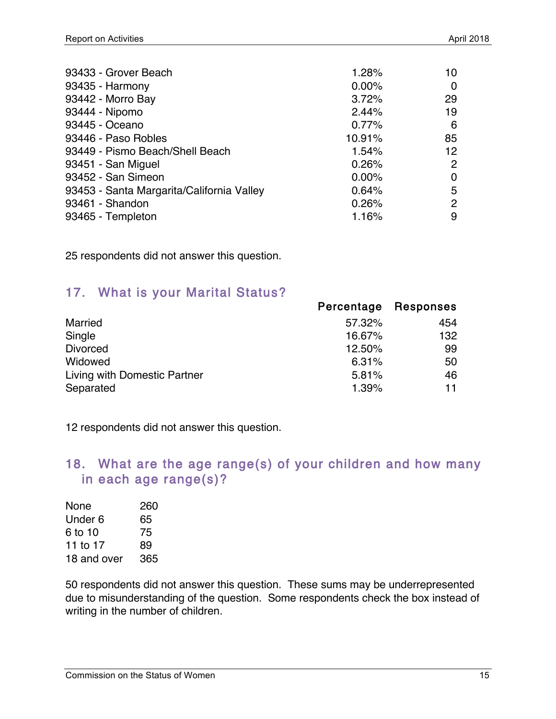| 1.28%    | 10 |
|----------|----|
| $0.00\%$ | 0  |
| 3.72%    | 29 |
| 2.44%    | 19 |
| 0.77%    | 6  |
| 10.91%   | 85 |
| 1.54%    | 12 |
| 0.26%    | 2  |
| 0.00%    | 0  |
| 0.64%    | 5  |
| 0.26%    | 2  |
| 1.16%    | 9  |
|          |    |

25 respondents did not answer this question.

### 17. What is your Marital Status?

|                              | Percentage | <b>Responses</b> |
|------------------------------|------------|------------------|
| Married                      | 57.32%     | 454              |
| Single                       | 16.67%     | 132              |
| <b>Divorced</b>              | 12.50%     | 99               |
| Widowed                      | 6.31%      | 50               |
| Living with Domestic Partner | 5.81%      | 46               |
| Separated                    | 1.39%      | 11               |

12 respondents did not answer this question.

### 18. What are the age range(s) of your children and how many in each age range(s)?

| None        | 260 |
|-------------|-----|
| Under 6     | 65  |
| 6 to 10     | 75  |
| 11 to 17    | 89  |
| 18 and over | 365 |

50 respondents did not answer this question. These sums may be underrepresented due to misunderstanding of the question. Some respondents check the box instead of writing in the number of children.